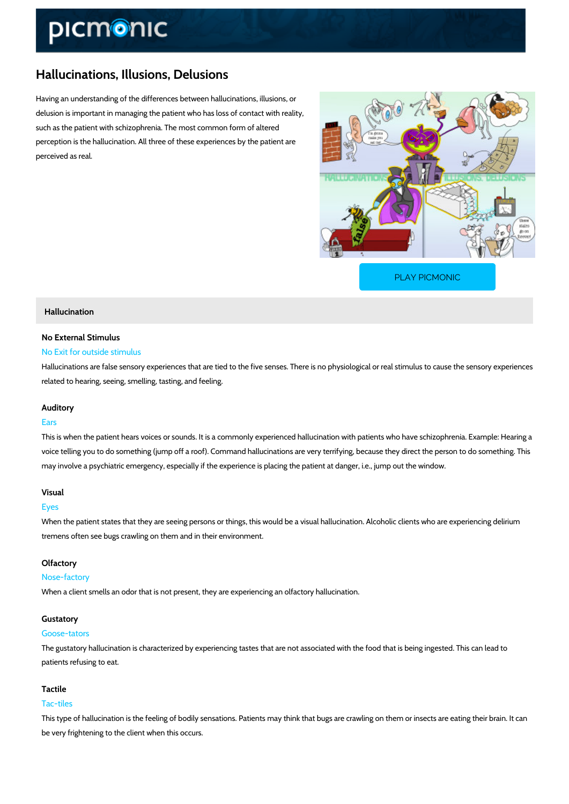# Hallucinations, Illusions, Delusions

Having an understanding of the differences between hallucinations, illusions, or delusion is important in managing the patient who has loss of contact with reality, such as the patient with schizophrenia. The most common form of altered perception is the hallucination. All three of these experiences by the patient are perceived as real.

[PLAY PICMONIC](https://www.picmonic.com/learn/hallucinations-illusions-delusions_1983?utm_source=downloadable_content&utm_medium=distributedcontent&utm_campaign=pathways_pdf&utm_content=Hallucinations, Illusions, Delusions&utm_ad_group=leads&utm_market=all)

## Hallucination

# No External Stimulus

# No Exit for outside stimulus

Hallucinations are false sensory experiences that are tied to the five senses. There is no phy related to hearing, seeing, smelling, tasting, and feeling.

#### Auditory

### Ears

This is when the patient hears voices or sounds. It is a commonly experienced hallucination w voice telling you to do something (jump off a roof). Command hallucinations are very terrifyin may involve a psychiatric emergency, especially if the experience is placing the patient at da

#### Visual

#### Eyes

When the patient states that they are seeing persons or things, this would be a visual halluci tremens often see bugs crawling on them and in their environment.

#### Olfactory

#### Nose-factory

When a client smells an odor that is not present, they are experiencing an olfactory hallucina

#### Gustatory

#### Goose-tators

The gustatory hallucination is characterized by experiencing tastes that are not associated wi patients refusing to eat.

#### Tactile

#### Tac-tiles

This type of hallucination is the feeling of bodily sensations. Patients may think that bugs are be very frightening to the client when this occurs.